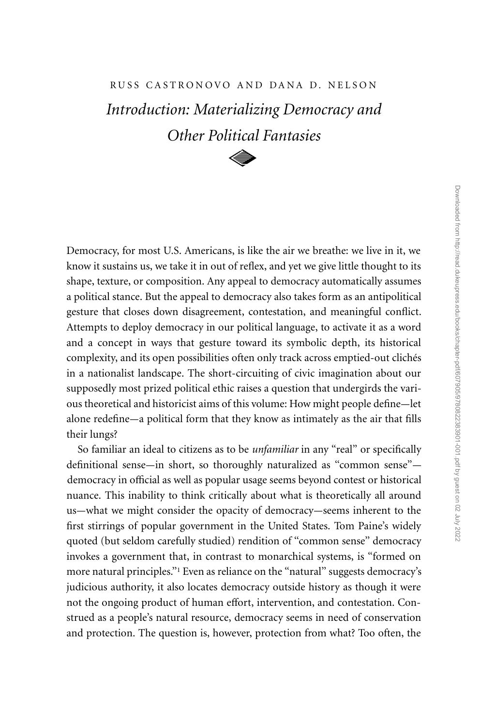# RUSS CASTRONOVO AND DANA D. NELSON *Introduction: Materializing Democracy and Other Political Fantasies*



Democracy, for most U.S. Americans, is like the air we breathe: we live in it, we know it sustains us, we take it in out of reflex, and yet we give little thought to its shape, texture, or composition. Any appeal to democracy automatically assumes a political stance. But the appeal to democracy also takes form as an antipolitical gesture that closes down disagreement, contestation, and meaningful conflict. Attempts to deploy democracy in our political language, to activate it as a word and a concept in ways that gesture toward its symbolic depth, its historical complexity, and its open possibilities often only track across emptied-out clichés in a nationalist landscape. The short-circuiting of civic imagination about our supposedly most prized political ethic raises a question that undergirds the various theoretical and historicist aims of this volume: How might people define—let alone redefine—a political form that they know as intimately as the air that fills their lungs?

So familiar an ideal to citizens as to be *unfamiliar* in any ''real'' or specifically definitional sense—in short, so thoroughly naturalized as ''common sense'' democracy in official as well as popular usage seems beyond contest or historical nuance. This inability to think critically about what is theoretically all around us—what we might consider the opacity of democracy—seems inherent to the first stirrings of popular government in the United States. Tom Paine's widely quoted (but seldom carefully studied) rendition of ''common sense'' democracy invokes a government that, in contrast to monarchical systems, is ''formed on more natural principles."<sup>1</sup> Even as reliance on the "natural" suggests democracy's judicious authority, it also locates democracy outside history as though it were not the ongoing product of human effort, intervention, and contestation. Construed as a people's natural resource, democracy seems in need of conservation and protection. The question is, however, protection from what? Too often, the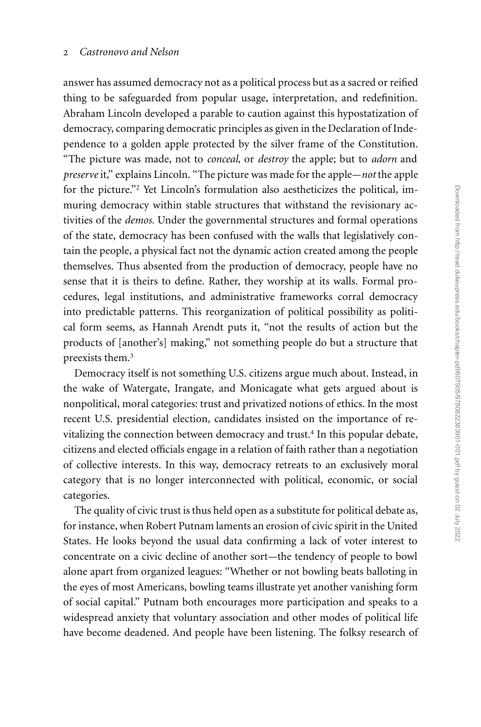answer has assumed democracy not as a political process but as a sacred or reified thing to be safeguarded from popular usage, interpretation, and redefinition. Abraham Lincoln developed a parable to caution against this hypostatization of democracy, comparing democratic principles as given in the Declaration of Independence to a golden apple protected by the silver frame of the Constitution. ''The picture was made, not to *conceal,* or *destroy* the apple; but to *adorn* and *preserve* it," explains Lincoln. "The picture was made for the apple—*not* the apple for the picture."<sup>2</sup> Yet Lincoln's formulation also aestheticizes the political, immuring democracy within stable structures that withstand the revisionary activities of the *demos.* Under the governmental structures and formal operations of the state, democracy has been confused with the walls that legislatively contain the people, a physical fact not the dynamic action created among the people themselves. Thus absented from the production of democracy, people have no sense that it is theirs to define. Rather, they worship at its walls. Formal procedures, legal institutions, and administrative frameworks corral democracy into predictable patterns. This reorganization of political possibility as political form seems, as Hannah Arendt puts it, ''not the results of action but the products of [another's] making,'' not something people do but a structure that preexists them.<sup>3</sup>

Democracy itself is not something U.S. citizens argue much about. Instead, in the wake of Watergate, Irangate, and Monicagate what gets argued about is nonpolitical, moral categories: trust and privatized notions of ethics. In the most recent U.S. presidential election, candidates insisted on the importance of revitalizing the connection between democracy and trust.<sup>4</sup> In this popular debate, citizens and elected officials engage in a relation of faith rather than a negotiation of collective interests. In this way, democracy retreats to an exclusively moral category that is no longer interconnected with political, economic, or social categories.

The quality of civic trust is thus held open as a substitute for political debate as, for instance, when Robert Putnam laments an erosion of civic spirit in the United States. He looks beyond the usual data confirming a lack of voter interest to concentrate on a civic decline of another sort—the tendency of people to bowl alone apart from organized leagues: ''Whether or not bowling beats balloting in the eyes of most Americans, bowling teams illustrate yet another vanishing form of social capital.'' Putnam both encourages more participation and speaks to a widespread anxiety that voluntary association and other modes of political life have become deadened. And people have been listening. The folksy research of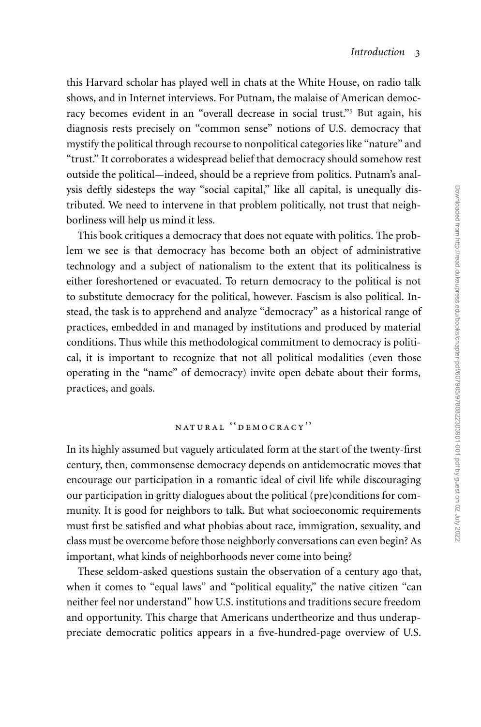this Harvard scholar has played well in chats at the White House, on radio talk shows, and in Internet interviews. For Putnam, the malaise of American democracy becomes evident in an "overall decrease in social trust."<sup>5</sup> But again, his diagnosis rests precisely on ''common sense'' notions of U.S. democracy that mystify the political through recourse to nonpolitical categories like ''nature'' and "trust." It corroborates a widespread belief that democracy should somehow rest outside the political—indeed, should be a reprieve from politics. Putnam's analysis deftly sidesteps the way "social capital," like all capital, is unequally distributed. We need to intervene in that problem politically, not trust that neighborliness will help us mind it less.

This book critiques a democracy that does not equate with politics. The problem we see is that democracy has become both an object of administrative technology and a subject of nationalism to the extent that its politicalness is either foreshortened or evacuated. To return democracy to the political is not to substitute democracy for the political, however. Fascism is also political. Instead, the task is to apprehend and analyze ''democracy'' as a historical range of practices, embedded in and managed by institutions and produced by material conditions. Thus while this methodological commitment to democracy is political, it is important to recognize that not all political modalities (even those operating in the "name" of democracy) invite open debate about their forms, practices, and goals.

## natural ''democracy''

In its highly assumed but vaguely articulated form at the start of the twenty-first century, then, commonsense democracy depends on antidemocratic moves that encourage our participation in a romantic ideal of civil life while discouraging our participation in gritty dialogues about the political (pre)conditions for community. It is good for neighbors to talk. But what socioeconomic requirements must first be satisfied and what phobias about race, immigration, sexuality, and class must be overcome before those neighborly conversations can even begin? As important, what kinds of neighborhoods never come into being?

These seldom-asked questions sustain the observation of a century ago that, when it comes to "equal laws" and "political equality," the native citizen "can neither feel nor understand'' how U.S. institutions and traditions secure freedom and opportunity. This charge that Americans undertheorize and thus underappreciate democratic politics appears in a five-hundred-page overview of U.S.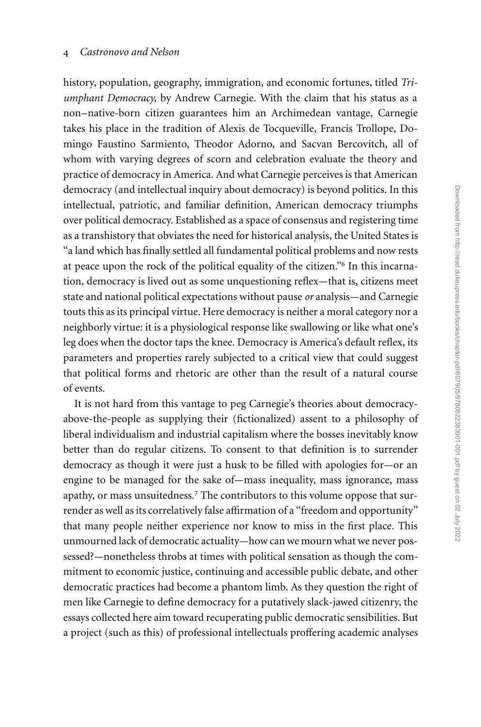history, population, geography, immigration, and economic fortunes, titled *Triumphant Democracy,* by Andrew Carnegie. With the claim that his status as a non–native-born citizen guarantees him an Archimedean vantage, Carnegie takes his place in the tradition of Alexis de Tocqueville, Francis Trollope, Domingo Faustino Sarmiento, Theodor Adorno, and Sacvan Bercovitch, all of whom with varying degrees of scorn and celebration evaluate the theory and practice of democracy in America. And what Carnegie perceives is that American democracy (and intellectual inquiry about democracy) is beyond politics. In this intellectual, patriotic, and familiar definition, American democracy triumphs over political democracy. Established as a space of consensus and registering time as a transhistory that obviates the need for historical analysis, the United States is ''a land which has finally settled all fundamental political problems and now rests at peace upon the rock of the political equality of the citizen."<sup>6</sup> In this incarnation, democracy is lived out as some unquestioning reflex—that is, citizens meet state and national political expectations without pause *or* analysis—and Carnegie touts this as its principal virtue. Here democracy is neither a moral category nor a neighborly virtue: it is a physiological response like swallowing or like what one's leg does when the doctor taps the knee. Democracy is America's default reflex, its parameters and properties rarely subjected to a critical view that could suggest that political forms and rhetoric are other than the result of a natural course of events.

It is not hard from this vantage to peg Carnegie's theories about democracyabove-the-people as supplying their (fictionalized) assent to a philosophy of liberal individualism and industrial capitalism where the bosses inevitably know better than do regular citizens. To consent to that definition is to surrender democracy as though it were just a husk to be filled with apologies for—or an engine to be managed for the sake of—mass inequality, mass ignorance, mass apathy, or mass unsuitedness.<sup>7</sup> The contributors to this volume oppose that surrender as well as its correlatively false affirmation of a "freedom and opportunity" that many people neither experience nor know to miss in the first place. This unmourned lack of democratic actuality—how can we mourn what we never possessed?—nonetheless throbs at times with political sensation as though the commitment to economic justice, continuing and accessible public debate, and other democratic practices had become a phantom limb. As they question the right of men like Carnegie to define democracy for a putatively slack-jawed citizenry, the essays collected here aim toward recuperating public democratic sensibilities. But a project (such as this) of professional intellectuals proffering academic analyses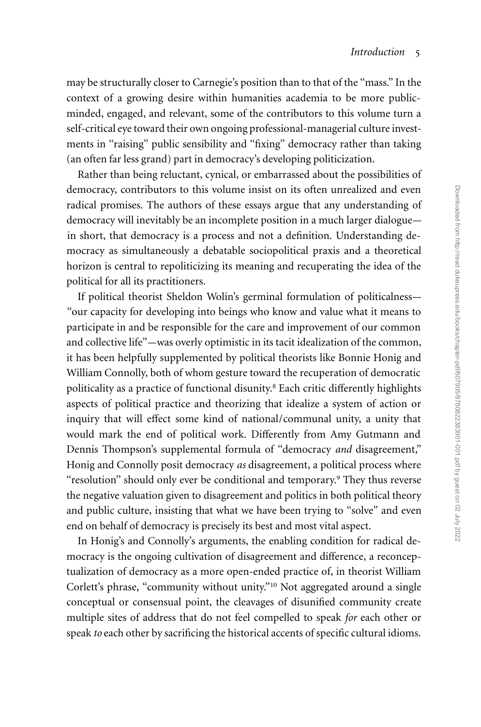may be structurally closer to Carnegie's position than to that of the ''mass.'' In the context of a growing desire within humanities academia to be more publicminded, engaged, and relevant, some of the contributors to this volume turn a self-critical eye toward their own ongoing professional-managerial culture investments in "raising" public sensibility and "fixing" democracy rather than taking (an often far less grand) part in democracy's developing politicization.

Rather than being reluctant, cynical, or embarrassed about the possibilities of democracy, contributors to this volume insist on its often unrealized and even radical promises. The authors of these essays argue that any understanding of democracy will inevitably be an incomplete position in a much larger dialogue in short, that democracy is a process and not a definition. Understanding democracy as simultaneously a debatable sociopolitical praxis and a theoretical horizon is central to repoliticizing its meaning and recuperating the idea of the political for all its practitioners.

If political theorist Sheldon Wolin's germinal formulation of politicalness— ''our capacity for developing into beings who know and value what it means to participate in and be responsible for the care and improvement of our common and collective life''—was overly optimistic in its tacit idealization of the common, it has been helpfully supplemented by political theorists like Bonnie Honig and William Connolly, both of whom gesture toward the recuperation of democratic politicality as a practice of functional disunity.8 Each critic differently highlights aspects of political practice and theorizing that idealize a system of action or inquiry that will effect some kind of national/communal unity, a unity that would mark the end of political work. Differently from Amy Gutmann and Dennis Thompson's supplemental formula of ''democracy *and* disagreement,'' Honig and Connolly posit democracy *as* disagreement, a political process where "resolution" should only ever be conditional and temporary.<sup>9</sup> They thus reverse the negative valuation given to disagreement and politics in both political theory and public culture, insisting that what we have been trying to "solve" and even end on behalf of democracy is precisely its best and most vital aspect.

In Honig's and Connolly's arguments, the enabling condition for radical democracy is the ongoing cultivation of disagreement and difference, a reconceptualization of democracy as a more open-ended practice of, in theorist William Corlett's phrase, "community without unity."<sup>10</sup> Not aggregated around a single conceptual or consensual point, the cleavages of disunified community create multiple sites of address that do not feel compelled to speak *for* each other or speak *to* each other by sacrificing the historical accents of specific cultural idioms.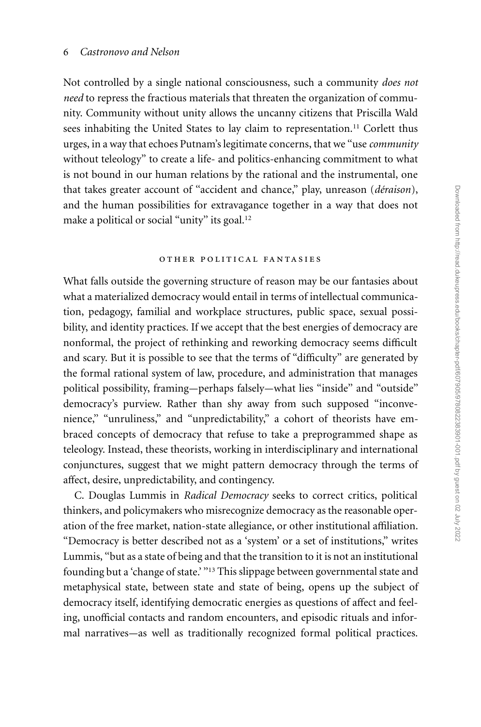Not controlled by a single national consciousness, such a community *does not need* to repress the fractious materials that threaten the organization of community. Community without unity allows the uncanny citizens that Priscilla Wald sees inhabiting the United States to lay claim to representation.<sup>11</sup> Corlett thus urges, in a way that echoes Putnam's legitimate concerns, that we ''use *community* without teleology" to create a life- and politics-enhancing commitment to what is not bound in our human relations by the rational and the instrumental, one that takes greater account of ''accident and chance,'' play, unreason (*déraison*), and the human possibilities for extravagance together in a way that does not make a political or social "unity" its goal.<sup>12</sup>

### other political fantasies

What falls outside the governing structure of reason may be our fantasies about what a materialized democracy would entail in terms of intellectual communication, pedagogy, familial and workplace structures, public space, sexual possibility, and identity practices. If we accept that the best energies of democracy are nonformal, the project of rethinking and reworking democracy seems difficult and scary. But it is possible to see that the terms of "difficulty" are generated by the formal rational system of law, procedure, and administration that manages political possibility, framing—perhaps falsely —what lies ''inside'' and ''outside'' democracy's purview. Rather than shy away from such supposed ''inconvenience," "unruliness," and "unpredictability," a cohort of theorists have embraced concepts of democracy that refuse to take a preprogrammed shape as teleology. Instead, these theorists, working in interdisciplinary and international conjunctures, suggest that we might pattern democracy through the terms of affect, desire, unpredictability, and contingency.

C. Douglas Lummis in *Radical Democracy* seeks to correct critics, political thinkers, and policymakers who misrecognize democracy as the reasonable operation of the free market, nation-state allegiance, or other institutional affiliation. ''Democracy is better described not as a 'system' or a set of institutions,'' writes Lummis, ''but as a state of being and that the transition to it is not an institutional founding but a 'change of state.' "<sup>13</sup> This slippage between governmental state and metaphysical state, between state and state of being, opens up the subject of democracy itself, identifying democratic energies as questions of affect and feeling, unofficial contacts and random encounters, and episodic rituals and informal narratives—as well as traditionally recognized formal political practices.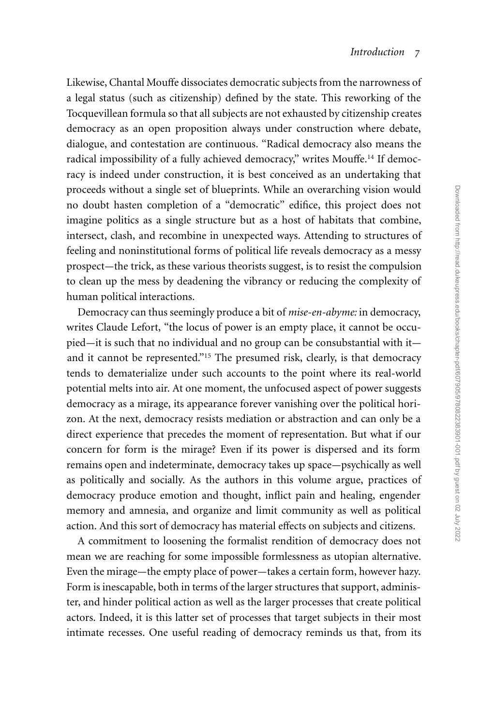Likewise, Chantal Mouffe dissociates democratic subjects from the narrowness of a legal status (such as citizenship) defined by the state. This reworking of the Tocquevillean formula so that all subjects are not exhausted by citizenship creates democracy as an open proposition always under construction where debate, dialogue, and contestation are continuous. ''Radical democracy also means the radical impossibility of a fully achieved democracy," writes Mouffe.<sup>14</sup> If democracy is indeed under construction, it is best conceived as an undertaking that proceeds without a single set of blueprints. While an overarching vision would no doubt hasten completion of a ''democratic'' edifice, this project does not imagine politics as a single structure but as a host of habitats that combine, intersect, clash, and recombine in unexpected ways. Attending to structures of feeling and noninstitutional forms of political life reveals democracy as a messy prospect—the trick, as these various theorists suggest, is to resist the compulsion to clean up the mess by deadening the vibrancy or reducing the complexity of human political interactions.

Democracy can thus seemingly produce a bit of *mise-en-abyme:* in democracy, writes Claude Lefort, "the locus of power is an empty place, it cannot be occupied—it is such that no individual and no group can be consubstantial with it and it cannot be represented."<sup>15</sup> The presumed risk, clearly, is that democracy tends to dematerialize under such accounts to the point where its real-world potential melts into air. At one moment, the unfocused aspect of power suggests democracy as a mirage, its appearance forever vanishing over the political horizon. At the next, democracy resists mediation or abstraction and can only be a direct experience that precedes the moment of representation. But what if our concern for form is the mirage? Even if its power is dispersed and its form remains open and indeterminate, democracy takes up space—psychically as well as politically and socially. As the authors in this volume argue, practices of democracy produce emotion and thought, inflict pain and healing, engender memory and amnesia, and organize and limit community as well as political action. And this sort of democracy has material effects on subjects and citizens.

A commitment to loosening the formalist rendition of democracy does not mean we are reaching for some impossible formlessness as utopian alternative. Even the mirage—the empty place of power—takes a certain form, however hazy. Form is inescapable, both in terms of the larger structures that support, administer, and hinder political action as well as the larger processes that create political actors. Indeed, it is this latter set of processes that target subjects in their most intimate recesses. One useful reading of democracy reminds us that, from its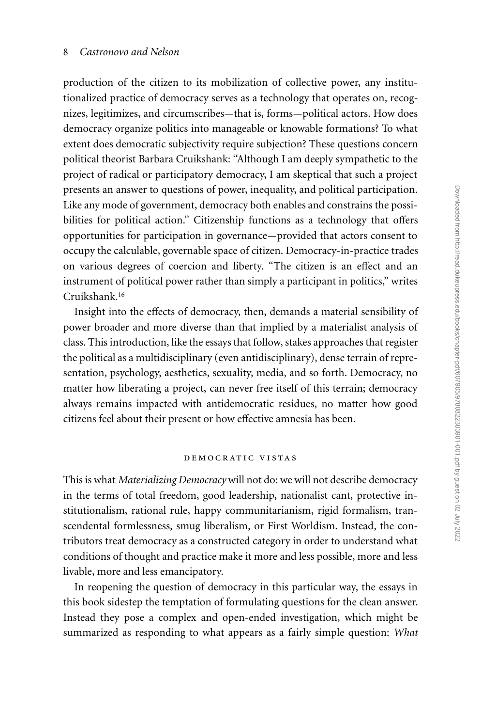production of the citizen to its mobilization of collective power, any institutionalized practice of democracy serves as a technology that operates on, recognizes, legitimizes, and circumscribes—that is, forms—political actors. How does democracy organize politics into manageable or knowable formations? To what extent does democratic subjectivity require subjection? These questions concern political theorist Barbara Cruikshank: ''Although I am deeply sympathetic to the project of radical or participatory democracy, I am skeptical that such a project presents an answer to questions of power, inequality, and political participation. Like any mode of government, democracy both enables and constrains the possibilities for political action." Citizenship functions as a technology that offers opportunities for participation in governance—provided that actors consent to occupy the calculable, governable space of citizen. Democracy-in-practice trades on various degrees of coercion and liberty. "The citizen is an effect and an instrument of political power rather than simply a participant in politics,'' writes Cruikshank.<sup>16</sup>

Insight into the effects of democracy, then, demands a material sensibility of power broader and more diverse than that implied by a materialist analysis of class. This introduction, like the essays that follow, stakes approaches that register the political as a multidisciplinary (even antidisciplinary), dense terrain of representation, psychology, aesthetics, sexuality, media, and so forth. Democracy, no matter how liberating a project, can never free itself of this terrain; democracy always remains impacted with antidemocratic residues, no matter how good citizens feel about their present or how effective amnesia has been.

# democratic vistas

This is what *Materializing Democracy* will not do: we will not describe democracy in the terms of total freedom, good leadership, nationalist cant, protective institutionalism, rational rule, happy communitarianism, rigid formalism, transcendental formlessness, smug liberalism, or First Worldism. Instead, the contributors treat democracy as a constructed category in order to understand what conditions of thought and practice make it more and less possible, more and less livable, more and less emancipatory.

In reopening the question of democracy in this particular way, the essays in this book sidestep the temptation of formulating questions for the clean answer. Instead they pose a complex and open-ended investigation, which might be summarized as responding to what appears as a fairly simple question: *What*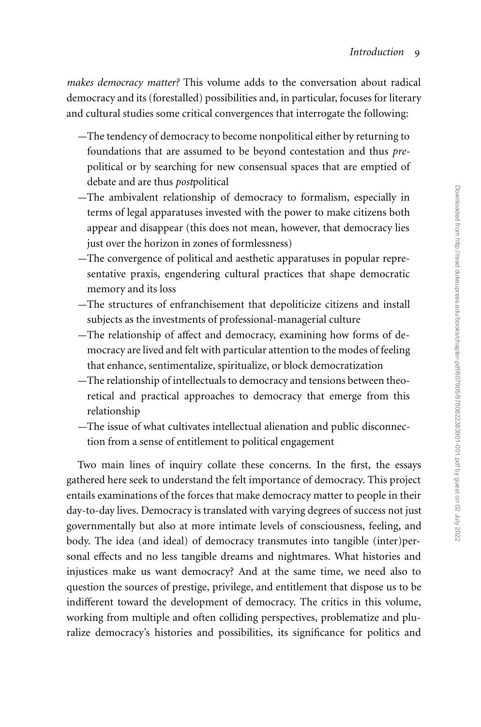*makes democracy matter?* This volume adds to the conversation about radical democracy and its (forestalled) possibilities and, in particular, focuses for literary and cultural studies some critical convergences that interrogate the following:

- —The tendency of democracy to become nonpolitical either by returning to foundations that are assumed to be beyond contestation and thus *pre*political or by searching for new consensual spaces that are emptied of debate and are thus *post*political
- —The ambivalent relationship of democracy to formalism, especially in terms of legal apparatuses invested with the power to make citizens both appear and disappear (this does not mean, however, that democracy lies just over the horizon in zones of formlessness)
- —The convergence of political and aesthetic apparatuses in popular representative praxis, engendering cultural practices that shape democratic memory and its loss
- —The structures of enfranchisement that depoliticize citizens and install subjects as the investments of professional-managerial culture
- —The relationship of affect and democracy, examining how forms of democracy are lived and felt with particular attention to the modes of feeling that enhance, sentimentalize, spiritualize, or block democratization
- —The relationship of intellectuals to democracy and tensions between theoretical and practical approaches to democracy that emerge from this relationship
- —The issue of what cultivates intellectual alienation and public disconnection from a sense of entitlement to political engagement

Two main lines of inquiry collate these concerns. In the first, the essays gathered here seek to understand the felt importance of democracy. This project entails examinations of the forces that make democracy matter to people in their day-to-day lives. Democracy is translated with varying degrees of success not just governmentally but also at more intimate levels of consciousness, feeling, and body. The idea (and ideal) of democracy transmutes into tangible (inter)personal effects and no less tangible dreams and nightmares. What histories and injustices make us want democracy? And at the same time, we need also to question the sources of prestige, privilege, and entitlement that dispose us to be indifferent toward the development of democracy. The critics in this volume, working from multiple and often colliding perspectives, problematize and pluralize democracy's histories and possibilities, its significance for politics and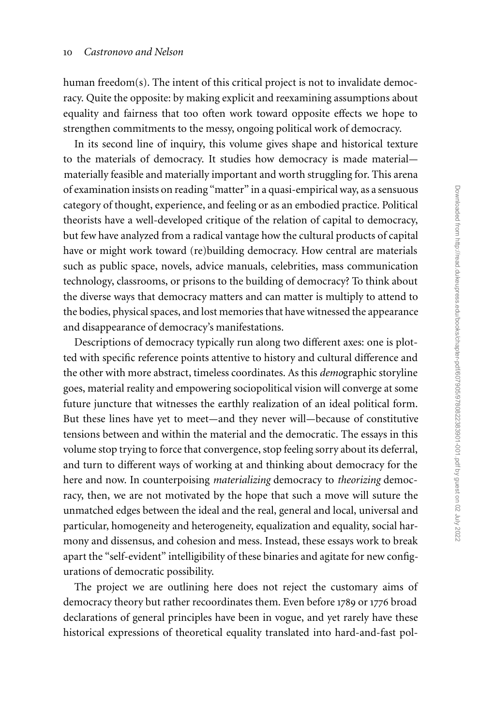human freedom(s). The intent of this critical project is not to invalidate democracy. Quite the opposite: by making explicit and reexamining assumptions about equality and fairness that too often work toward opposite effects we hope to strengthen commitments to the messy, ongoing political work of democracy.

In its second line of inquiry, this volume gives shape and historical texture to the materials of democracy. It studies how democracy is made material materially feasible and materially important and worth struggling for. This arena of examination insists on reading ''matter'' in a quasi-empirical way, as a sensuous category of thought, experience, and feeling or as an embodied practice. Political theorists have a well-developed critique of the relation of capital to democracy, but few have analyzed from a radical vantage how the cultural products of capital have or might work toward (re)building democracy. How central are materials such as public space, novels, advice manuals, celebrities, mass communication technology, classrooms, or prisons to the building of democracy? To think about the diverse ways that democracy matters and can matter is multiply to attend to the bodies, physical spaces, and lost memories that have witnessed the appearance and disappearance of democracy's manifestations.

Descriptions of democracy typically run along two different axes: one is plotted with specific reference points attentive to history and cultural difference and the other with more abstract, timeless coordinates. As this *demo*graphic storyline goes, material reality and empowering sociopolitical vision will converge at some future juncture that witnesses the earthly realization of an ideal political form. But these lines have yet to meet—and they never will—because of constitutive tensions between and within the material and the democratic. The essays in this volume stop trying to force that convergence, stop feeling sorry about its deferral, and turn to different ways of working at and thinking about democracy for the here and now. In counterpoising *materializing* democracy to *theorizing* democracy, then, we are not motivated by the hope that such a move will suture the unmatched edges between the ideal and the real, general and local, universal and particular, homogeneity and heterogeneity, equalization and equality, social harmony and dissensus, and cohesion and mess. Instead, these essays work to break apart the "self-evident" intelligibility of these binaries and agitate for new configurations of democratic possibility.

The project we are outlining here does not reject the customary aims of democracy theory but rather recoordinates them. Even before 1789 or 1776 broad declarations of general principles have been in vogue, and yet rarely have these historical expressions of theoretical equality translated into hard-and-fast pol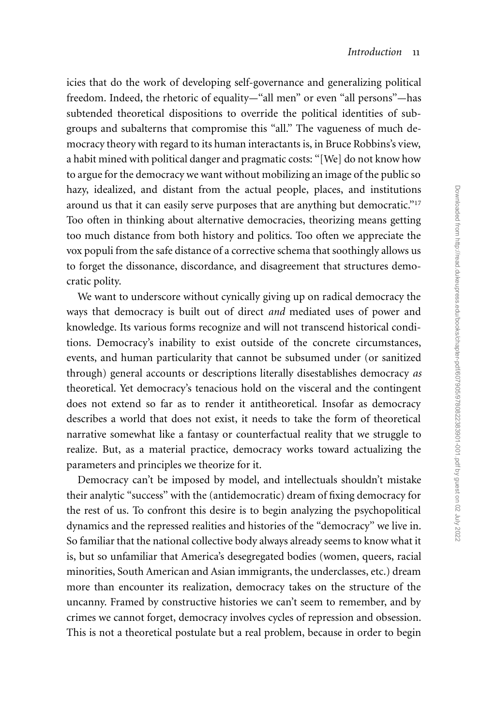icies that do the work of developing self-governance and generalizing political freedom. Indeed, the rhetoric of equality—"all men" or even "all persons"—has subtended theoretical dispositions to override the political identities of subgroups and subalterns that compromise this "all." The vagueness of much democracy theory with regard to its human interactants is, in Bruce Robbins's view, a habit mined with political danger and pragmatic costs: ''[We] do not know how to argue for the democracy we want without mobilizing an image of the public so hazy, idealized, and distant from the actual people, places, and institutions around us that it can easily serve purposes that are anything but democratic."<sup>17</sup> Too often in thinking about alternative democracies, theorizing means getting too much distance from both history and politics. Too often we appreciate the vox populi from the safe distance of a corrective schema that soothingly allows us to forget the dissonance, discordance, and disagreement that structures democratic polity.

We want to underscore without cynically giving up on radical democracy the ways that democracy is built out of direct *and* mediated uses of power and knowledge. Its various forms recognize and will not transcend historical conditions. Democracy's inability to exist outside of the concrete circumstances, events, and human particularity that cannot be subsumed under (or sanitized through) general accounts or descriptions literally disestablishes democracy *as* theoretical. Yet democracy's tenacious hold on the visceral and the contingent does not extend so far as to render it antitheoretical. Insofar as democracy describes a world that does not exist, it needs to take the form of theoretical narrative somewhat like a fantasy or counterfactual reality that we struggle to realize. But, as a material practice, democracy works toward actualizing the parameters and principles we theorize for it.

Democracy can't be imposed by model, and intellectuals shouldn't mistake their analytic ''success'' with the (antidemocratic) dream of fixing democracy for the rest of us. To confront this desire is to begin analyzing the psychopolitical dynamics and the repressed realities and histories of the ''democracy'' we live in. So familiar that the national collective body always already seems to know what it is, but so unfamiliar that America's desegregated bodies (women, queers, racial minorities, South American and Asian immigrants, the underclasses, etc.) dream more than encounter its realization, democracy takes on the structure of the uncanny. Framed by constructive histories we can't seem to remember, and by crimes we cannot forget, democracy involves cycles of repression and obsession. This is not a theoretical postulate but a real problem, because in order to begin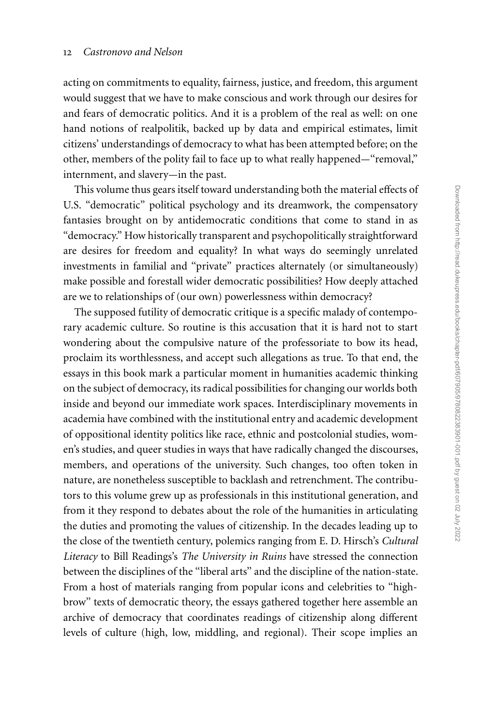acting on commitments to equality, fairness, justice, and freedom, this argument would suggest that we have to make conscious and work through our desires for and fears of democratic politics. And it is a problem of the real as well: on one hand notions of realpolitik, backed up by data and empirical estimates, limit citizens' understandings of democracy to what has been attempted before; on the other, members of the polity fail to face up to what really happened—''removal,'' internment, and slavery—in the past.

This volume thus gears itself toward understanding both the material effects of U.S. "democratic" political psychology and its dreamwork, the compensatory fantasies brought on by antidemocratic conditions that come to stand in as "democracy." How historically transparent and psychopolitically straightforward are desires for freedom and equality? In what ways do seemingly unrelated investments in familial and ''private'' practices alternately (or simultaneously) make possible and forestall wider democratic possibilities? How deeply attached are we to relationships of (our own) powerlessness within democracy?

The supposed futility of democratic critique is a specific malady of contemporary academic culture. So routine is this accusation that it is hard not to start wondering about the compulsive nature of the professoriate to bow its head, proclaim its worthlessness, and accept such allegations as true. To that end, the essays in this book mark a particular moment in humanities academic thinking on the subject of democracy, its radical possibilities for changing our worlds both inside and beyond our immediate work spaces. Interdisciplinary movements in academia have combined with the institutional entry and academic development of oppositional identity politics like race, ethnic and postcolonial studies, women's studies, and queer studies in ways that have radically changed the discourses, members, and operations of the university. Such changes, too often token in nature, are nonetheless susceptible to backlash and retrenchment. The contributors to this volume grew up as professionals in this institutional generation, and from it they respond to debates about the role of the humanities in articulating the duties and promoting the values of citizenship. In the decades leading up to the close of the twentieth century, polemics ranging from E. D. Hirsch's *Cultural Literacy* to Bill Readings's *The University in Ruins* have stressed the connection between the disciplines of the ''liberal arts'' and the discipline of the nation-state. From a host of materials ranging from popular icons and celebrities to ''highbrow'' texts of democratic theory, the essays gathered together here assemble an archive of democracy that coordinates readings of citizenship along different levels of culture (high, low, middling, and regional). Their scope implies an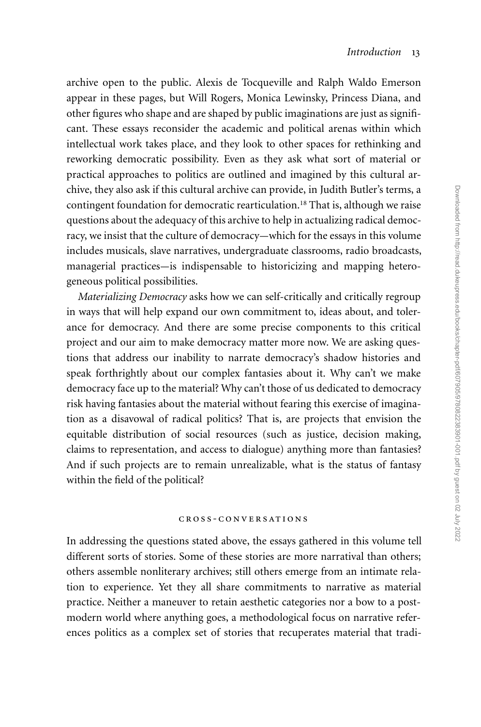archive open to the public. Alexis de Tocqueville and Ralph Waldo Emerson appear in these pages, but Will Rogers, Monica Lewinsky, Princess Diana, and other figures who shape and are shaped by public imaginations are just as significant. These essays reconsider the academic and political arenas within which intellectual work takes place, and they look to other spaces for rethinking and reworking democratic possibility. Even as they ask what sort of material or practical approaches to politics are outlined and imagined by this cultural archive, they also ask if this cultural archive can provide, in Judith Butler's terms, a contingent foundation for democratic rearticulation.<sup>18</sup> That is, although we raise questions about the adequacy of this archive to help in actualizing radical democracy, we insist that the culture of democracy —which for the essays in this volume includes musicals, slave narratives, undergraduate classrooms, radio broadcasts, managerial practices—is indispensable to historicizing and mapping heterogeneous political possibilities.

*Materializing Democracy* asks how we can self-critically and critically regroup in ways that will help expand our own commitment to, ideas about, and tolerance for democracy. And there are some precise components to this critical project and our aim to make democracy matter more now. We are asking questions that address our inability to narrate democracy's shadow histories and speak forthrightly about our complex fantasies about it. Why can't we make democracy face up to the material? Why can't those of us dedicated to democracy risk having fantasies about the material without fearing this exercise of imagination as a disavowal of radical politics? That is, are projects that envision the equitable distribution of social resources (such as justice, decision making, claims to representation, and access to dialogue) anything more than fantasies? And if such projects are to remain unrealizable, what is the status of fantasy within the field of the political?

#### cross-conversations

In addressing the questions stated above, the essays gathered in this volume tell different sorts of stories. Some of these stories are more narratival than others; others assemble nonliterary archives; still others emerge from an intimate relation to experience. Yet they all share commitments to narrative as material practice. Neither a maneuver to retain aesthetic categories nor a bow to a postmodern world where anything goes, a methodological focus on narrative references politics as a complex set of stories that recuperates material that tradi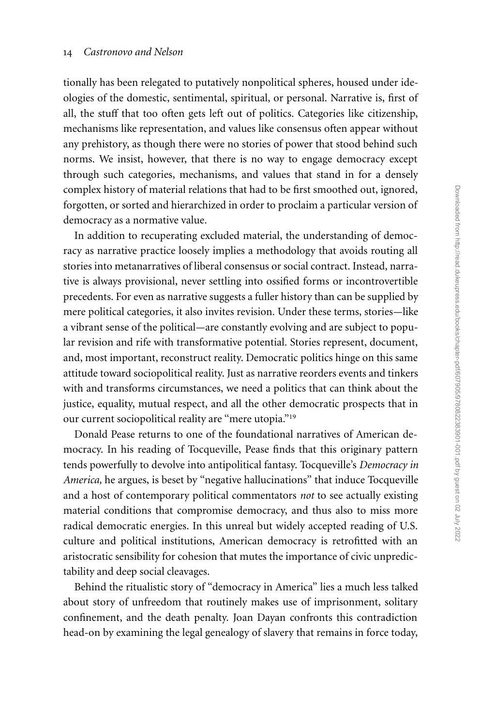tionally has been relegated to putatively nonpolitical spheres, housed under ideologies of the domestic, sentimental, spiritual, or personal. Narrative is, first of all, the stuff that too often gets left out of politics. Categories like citizenship, mechanisms like representation, and values like consensus often appear without any prehistory, as though there were no stories of power that stood behind such norms. We insist, however, that there is no way to engage democracy except through such categories, mechanisms, and values that stand in for a densely complex history of material relations that had to be first smoothed out, ignored, forgotten, or sorted and hierarchized in order to proclaim a particular version of democracy as a normative value.

In addition to recuperating excluded material, the understanding of democracy as narrative practice loosely implies a methodology that avoids routing all stories into metanarratives of liberal consensus or social contract. Instead, narrative is always provisional, never settling into ossified forms or incontrovertible precedents. For even as narrative suggests a fuller history than can be supplied by mere political categories, it also invites revision. Under these terms, stories—like a vibrant sense of the political—are constantly evolving and are subject to popular revision and rife with transformative potential. Stories represent, document, and, most important, reconstruct reality. Democratic politics hinge on this same attitude toward sociopolitical reality. Just as narrative reorders events and tinkers with and transforms circumstances, we need a politics that can think about the justice, equality, mutual respect, and all the other democratic prospects that in our current sociopolitical reality are "mere utopia."<sup>19</sup>

Donald Pease returns to one of the foundational narratives of American democracy. In his reading of Tocqueville, Pease finds that this originary pattern tends powerfully to devolve into antipolitical fantasy. Tocqueville's *Democracy in America,* he argues, is beset by ''negative hallucinations'' that induce Tocqueville and a host of contemporary political commentators *not* to see actually existing material conditions that compromise democracy, and thus also to miss more radical democratic energies. In this unreal but widely accepted reading of U.S. culture and political institutions, American democracy is retrofitted with an aristocratic sensibility for cohesion that mutes the importance of civic unpredictability and deep social cleavages.

Behind the ritualistic story of ''democracy in America'' lies a much less talked about story of unfreedom that routinely makes use of imprisonment, solitary confinement, and the death penalty. Joan Dayan confronts this contradiction head-on by examining the legal genealogy of slavery that remains in force today,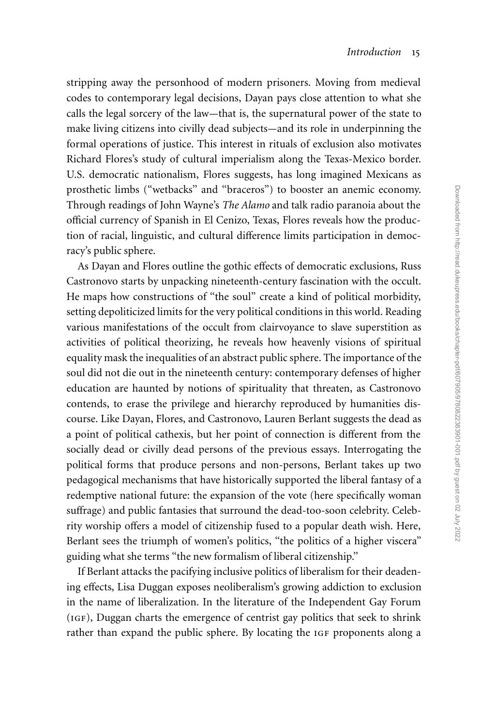stripping away the personhood of modern prisoners. Moving from medieval codes to contemporary legal decisions, Dayan pays close attention to what she calls the legal sorcery of the law—that is, the supernatural power of the state to make living citizens into civilly dead subjects—and its role in underpinning the formal operations of justice. This interest in rituals of exclusion also motivates Richard Flores's study of cultural imperialism along the Texas-Mexico border. U.S. democratic nationalism, Flores suggests, has long imagined Mexicans as prosthetic limbs ("wetbacks" and "braceros") to booster an anemic economy. Through readings of John Wayne's *The Alamo* and talk radio paranoia about the official currency of Spanish in El Cenizo, Texas, Flores reveals how the production of racial, linguistic, and cultural difference limits participation in democracy's public sphere.

As Dayan and Flores outline the gothic effects of democratic exclusions, Russ Castronovo starts by unpacking nineteenth-century fascination with the occult. He maps how constructions of "the soul" create a kind of political morbidity, setting depoliticized limits for the very political conditions in this world. Reading various manifestations of the occult from clairvoyance to slave superstition as activities of political theorizing, he reveals how heavenly visions of spiritual equality mask the inequalities of an abstract public sphere. The importance of the soul did not die out in the nineteenth century: contemporary defenses of higher education are haunted by notions of spirituality that threaten, as Castronovo contends, to erase the privilege and hierarchy reproduced by humanities discourse. Like Dayan, Flores, and Castronovo, Lauren Berlant suggests the dead as a point of political cathexis, but her point of connection is different from the socially dead or civilly dead persons of the previous essays. Interrogating the political forms that produce persons and non-persons, Berlant takes up two pedagogical mechanisms that have historically supported the liberal fantasy of a redemptive national future: the expansion of the vote (here specifically woman suffrage) and public fantasies that surround the dead-too-soon celebrity. Celebrity worship offers a model of citizenship fused to a popular death wish. Here, Berlant sees the triumph of women's politics, "the politics of a higher viscera" guiding what she terms ''the new formalism of liberal citizenship.''

If Berlant attacks the pacifying inclusive politics of liberalism for their deadening effects, Lisa Duggan exposes neoliberalism's growing addiction to exclusion in the name of liberalization. In the literature of the Independent Gay Forum (igf), Duggan charts the emergence of centrist gay politics that seek to shrink rather than expand the public sphere. By locating the IGF proponents along a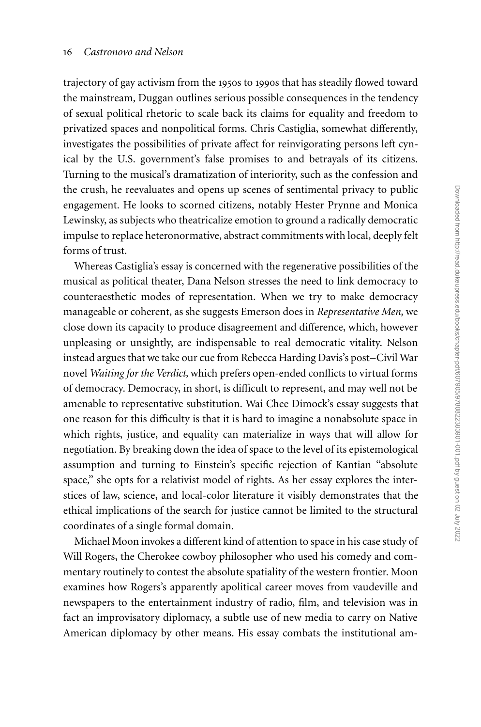trajectory of gay activism from the 1950s to 1990s that has steadily flowed toward the mainstream, Duggan outlines serious possible consequences in the tendency of sexual political rhetoric to scale back its claims for equality and freedom to privatized spaces and nonpolitical forms. Chris Castiglia, somewhat differently, investigates the possibilities of private affect for reinvigorating persons left cynical by the U.S. government's false promises to and betrayals of its citizens. Turning to the musical's dramatization of interiority, such as the confession and the crush, he reevaluates and opens up scenes of sentimental privacy to public engagement. He looks to scorned citizens, notably Hester Prynne and Monica Lewinsky, as subjects who theatricalize emotion to ground a radically democratic impulse to replace heteronormative, abstract commitments with local, deeply felt forms of trust.

Whereas Castiglia's essay is concerned with the regenerative possibilities of the musical as political theater, Dana Nelson stresses the need to link democracy to counteraesthetic modes of representation. When we try to make democracy manageable or coherent, as she suggests Emerson does in *Representative Men,* we close down its capacity to produce disagreement and difference, which, however unpleasing or unsightly, are indispensable to real democratic vitality. Nelson instead argues that we take our cue from Rebecca Harding Davis's post–Civil War novel *Waiting for the Verdict,* which prefers open-ended conflicts to virtual forms of democracy. Democracy, in short, is difficult to represent, and may well not be amenable to representative substitution. Wai Chee Dimock's essay suggests that one reason for this difficulty is that it is hard to imagine a nonabsolute space in which rights, justice, and equality can materialize in ways that will allow for negotiation. By breaking down the idea of space to the level of its epistemological assumption and turning to Einstein's specific rejection of Kantian ''absolute space,'' she opts for a relativist model of rights. As her essay explores the interstices of law, science, and local-color literature it visibly demonstrates that the ethical implications of the search for justice cannot be limited to the structural coordinates of a single formal domain.

Michael Moon invokes a different kind of attention to space in his case study of Will Rogers, the Cherokee cowboy philosopher who used his comedy and commentary routinely to contest the absolute spatiality of the western frontier. Moon examines how Rogers's apparently apolitical career moves from vaudeville and newspapers to the entertainment industry of radio, film, and television was in fact an improvisatory diplomacy, a subtle use of new media to carry on Native American diplomacy by other means. His essay combats the institutional am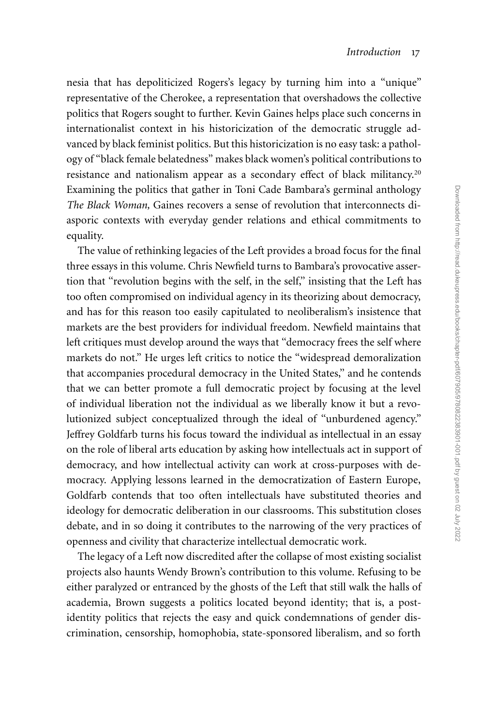nesia that has depoliticized Rogers's legacy by turning him into a ''unique'' representative of the Cherokee, a representation that overshadows the collective politics that Rogers sought to further. Kevin Gaines helps place such concerns in internationalist context in his historicization of the democratic struggle advanced by black feminist politics. But this historicization is no easy task: a pathology of ''black female belatedness'' makes black women's political contributions to resistance and nationalism appear as a secondary effect of black militancy.<sup>20</sup> Examining the politics that gather in Toni Cade Bambara's germinal anthology *The Black Woman,* Gaines recovers a sense of revolution that interconnects diasporic contexts with everyday gender relations and ethical commitments to equality.

The value of rethinking legacies of the Left provides a broad focus for the final three essays in this volume. Chris Newfield turns to Bambara's provocative assertion that ''revolution begins with the self, in the self,'' insisting that the Left has too often compromised on individual agency in its theorizing about democracy, and has for this reason too easily capitulated to neoliberalism's insistence that markets are the best providers for individual freedom. Newfield maintains that left critiques must develop around the ways that ''democracy frees the self where markets do not.'' He urges left critics to notice the ''widespread demoralization that accompanies procedural democracy in the United States,'' and he contends that we can better promote a full democratic project by focusing at the level of individual liberation not the individual as we liberally know it but a revolutionized subject conceptualized through the ideal of ''unburdened agency.'' Jeffrey Goldfarb turns his focus toward the individual as intellectual in an essay on the role of liberal arts education by asking how intellectuals act in support of democracy, and how intellectual activity can work at cross-purposes with democracy. Applying lessons learned in the democratization of Eastern Europe, Goldfarb contends that too often intellectuals have substituted theories and ideology for democratic deliberation in our classrooms. This substitution closes debate, and in so doing it contributes to the narrowing of the very practices of openness and civility that characterize intellectual democratic work.

The legacy of a Left now discredited after the collapse of most existing socialist projects also haunts Wendy Brown's contribution to this volume. Refusing to be either paralyzed or entranced by the ghosts of the Left that still walk the halls of academia, Brown suggests a politics located beyond identity; that is, a postidentity politics that rejects the easy and quick condemnations of gender discrimination, censorship, homophobia, state-sponsored liberalism, and so forth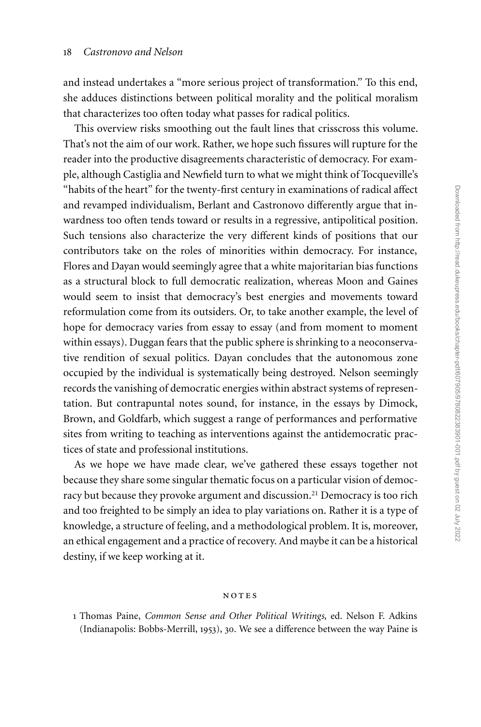and instead undertakes a ''more serious project of transformation.'' To this end, she adduces distinctions between political morality and the political moralism that characterizes too often today what passes for radical politics.

This overview risks smoothing out the fault lines that crisscross this volume. That's not the aim of our work. Rather, we hope such fissures will rupture for the reader into the productive disagreements characteristic of democracy. For example, although Castiglia and Newfield turn to what we might think of Tocqueville's "habits of the heart" for the twenty-first century in examinations of radical affect and revamped individualism, Berlant and Castronovo differently argue that inwardness too often tends toward or results in a regressive, antipolitical position. Such tensions also characterize the very different kinds of positions that our contributors take on the roles of minorities within democracy. For instance, Flores and Dayan would seemingly agree that a white majoritarian bias functions as a structural block to full democratic realization, whereas Moon and Gaines would seem to insist that democracy's best energies and movements toward reformulation come from its outsiders. Or, to take another example, the level of hope for democracy varies from essay to essay (and from moment to moment within essays). Duggan fears that the public sphere is shrinking to a neoconservative rendition of sexual politics. Dayan concludes that the autonomous zone occupied by the individual is systematically being destroyed. Nelson seemingly records the vanishing of democratic energies within abstract systems of representation. But contrapuntal notes sound, for instance, in the essays by Dimock, Brown, and Goldfarb, which suggest a range of performances and performative sites from writing to teaching as interventions against the antidemocratic practices of state and professional institutions.

As we hope we have made clear, we've gathered these essays together not because they share some singular thematic focus on a particular vision of democracy but because they provoke argument and discussion.<sup>21</sup> Democracy is too rich and too freighted to be simply an idea to play variations on. Rather it is a type of knowledge, a structure of feeling, and a methodological problem. It is, moreover, an ethical engagement and a practice of recovery. And maybe it can be a historical destiny, if we keep working at it.

## notes

1 Thomas Paine, *Common Sense and Other Political Writings,* ed. Nelson F. Adkins (Indianapolis: Bobbs-Merrill, 1953), 30. We see a difference between the way Paine is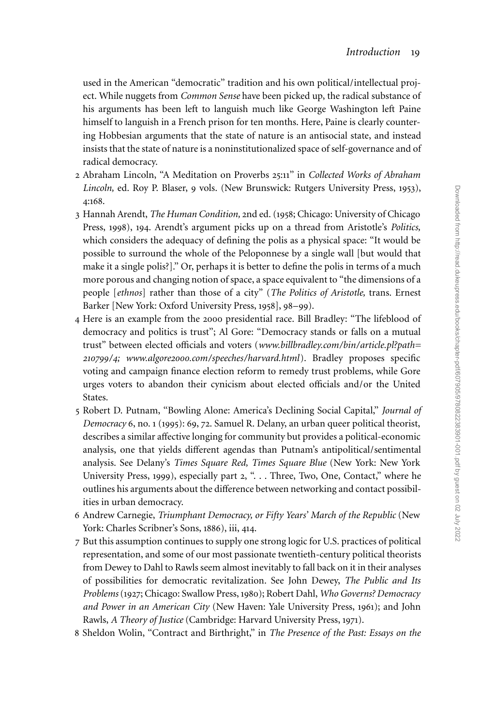used in the American ''democratic'' tradition and his own political/intellectual project. While nuggets from *Common Sense* have been picked up, the radical substance of his arguments has been left to languish much like George Washington left Paine himself to languish in a French prison for ten months. Here, Paine is clearly countering Hobbesian arguments that the state of nature is an antisocial state, and instead insists that the state of nature is a noninstitutionalized space of self-governance and of radical democracy.

- 2 Abraham Lincoln, ''A Meditation on Proverbs 25:11'' in *Collected Works of Abraham Lincoln,* ed. Roy P. Blaser, 9 vols. (New Brunswick: Rutgers University Press, 1953), 4:168.
- 3 Hannah Arendt, *The Human Condition,* 2nd ed. (1958; Chicago: University of Chicago Press, 1998), 194. Arendt's argument picks up on a thread from Aristotle's *Politics,* which considers the adequacy of defining the polis as a physical space: ''It would be possible to surround the whole of the Peloponnese by a single wall [but would that make it a single polis?].'' Or, perhaps it is better to define the polis in terms of a much more porous and changing notion of space, a space equivalent to ''the dimensions of a people [*ethnos*] rather than those of a city'' (*The Politics of Aristotle,* trans. Ernest Barker [New York: Oxford University Press, 1958], 98–99).
- 4 Here is an example from the 2000 presidential race. Bill Bradley: ''The lifeblood of democracy and politics is trust''; Al Gore: ''Democracy stands or falls on a mutual trust" between elected officials and voters (*www.billbradley.com/bin/article.pl?path*= *210799/4; www.algore2000.com/speeches/harvard.html*). Bradley proposes specific voting and campaign finance election reform to remedy trust problems, while Gore urges voters to abandon their cynicism about elected officials and/or the United States.
- 5 Robert D. Putnam, ''Bowling Alone: America's Declining Social Capital,'' *Journal of Democracy* 6, no. 1 (1995): 69, 72. Samuel R. Delany, an urban queer political theorist, describes a similar affective longing for community but provides a political-economic analysis, one that yields different agendas than Putnam's antipolitical/sentimental analysis. See Delany's *Times Square Red, Times Square Blue* (New York: New York University Press, 1999), especially part 2, ". . . Three, Two, One, Contact," where he outlines his arguments about the difference between networking and contact possibilities in urban democracy.
- 6 Andrew Carnegie, *Triumphant Democracy, or Fifty Years' March of the Republic* (New York: Charles Scribner's Sons, 1886), iii, 414.
- 7 But this assumption continues to supply one strong logic for U.S. practices of political representation, and some of our most passionate twentieth-century political theorists from Dewey to Dahl to Rawls seem almost inevitably to fall back on it in their analyses of possibilities for democratic revitalization. See John Dewey, *The Public and Its Problems* (1927; Chicago: Swallow Press, 1980); Robert Dahl, *Who Governs? Democracy and Power in an American City* (New Haven: Yale University Press, 1961); and John Rawls, *A Theory of Justice* (Cambridge: Harvard University Press, 1971).
- 8 Sheldon Wolin, ''Contract and Birthright,'' in *The Presence of the Past: Essays on the*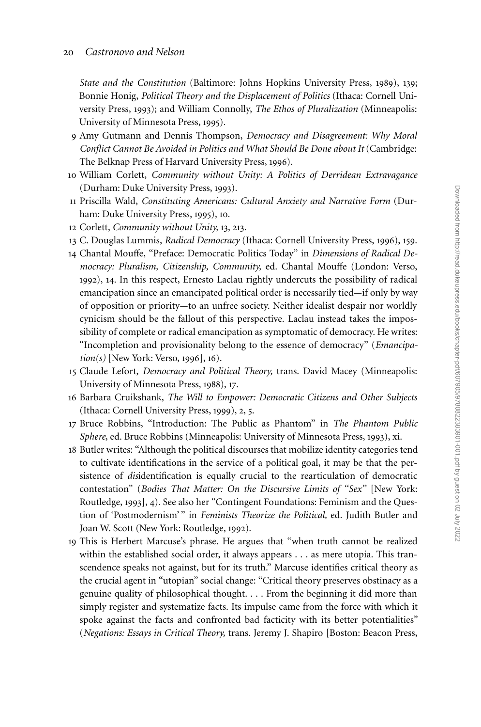*State and the Constitution* (Baltimore: Johns Hopkins University Press, 1989), 139; Bonnie Honig, *Political Theory and the Displacement of Politics* (Ithaca: Cornell University Press, 1993); and William Connolly, *The Ethos of Pluralization* (Minneapolis: University of Minnesota Press, 1995).

- 9 Amy Gutmann and Dennis Thompson, *Democracy and Disagreement: Why Moral Conflict Cannot Be Avoided in Politics and What Should Be Done about It* (Cambridge: The Belknap Press of Harvard University Press, 1996).
- 10 William Corlett, *Community without Unity: A Politics of Derridean Extravagance* (Durham: Duke University Press, 1993).
- 11 Priscilla Wald, *Constituting Americans: Cultural Anxiety and Narrative Form* (Durham: Duke University Press, 1995), 10.
- 12 Corlett, *Community without Unity,* 13, 213.
- 13 C. Douglas Lummis, *Radical Democracy* (Ithaca: Cornell University Press, 1996), 159.
- 14 Chantal Mouffe, "Preface: Democratic Politics Today" in *Dimensions of Radical Democracy: Pluralism, Citizenship, Community, ed. Chantal Mouffe (London: Verso,* 1992), 14. In this respect, Ernesto Laclau rightly undercuts the possibility of radical emancipation since an emancipated political order is necessarily tied—if only by way of opposition or priority—to an unfree society. Neither idealist despair nor worldly cynicism should be the fallout of this perspective. Laclau instead takes the impossibility of complete or radical emancipation as symptomatic of democracy. He writes: ''Incompletion and provisionality belong to the essence of democracy'' (*Emancipation(s)* [New York: Verso, 1996], 16).
- 15 Claude Lefort, *Democracy and Political Theory,* trans. David Macey (Minneapolis: University of Minnesota Press, 1988), 17.
- 16 Barbara Cruikshank, *The Will to Empower: Democratic Citizens and Other Subjects* (Ithaca: Cornell University Press, 1999), 2, 5.
- 17 Bruce Robbins, ''Introduction: The Public as Phantom'' in *The Phantom Public Sphere,* ed. Bruce Robbins (Minneapolis: University of Minnesota Press, 1993), xi.
- 18 Butler writes: ''Although the political discourses that mobilize identity categories tend to cultivate identifications in the service of a political goal, it may be that the persistence of *dis*identification is equally crucial to the rearticulation of democratic contestation'' (*Bodies That Matter: On the Discursive Limits of ''Sex''* [New York: Routledge, 1993], 4). See also her ''Contingent Foundations: Feminism and the Question of 'Postmodernism' '' in *Feminists Theorize the Political,* ed. Judith Butler and Joan W. Scott (New York: Routledge, 1992).
- 19 This is Herbert Marcuse's phrase. He argues that ''when truth cannot be realized within the established social order, it always appears . . . as mere utopia. This transcendence speaks not against, but for its truth.'' Marcuse identifies critical theory as the crucial agent in ''utopian'' social change: ''Critical theory preserves obstinacy as a genuine quality of philosophical thought. . . . From the beginning it did more than simply register and systematize facts. Its impulse came from the force with which it spoke against the facts and confronted bad facticity with its better potentialities'' (*Negations: Essays in Critical Theory,* trans. Jeremy J. Shapiro [Boston: Beacon Press,